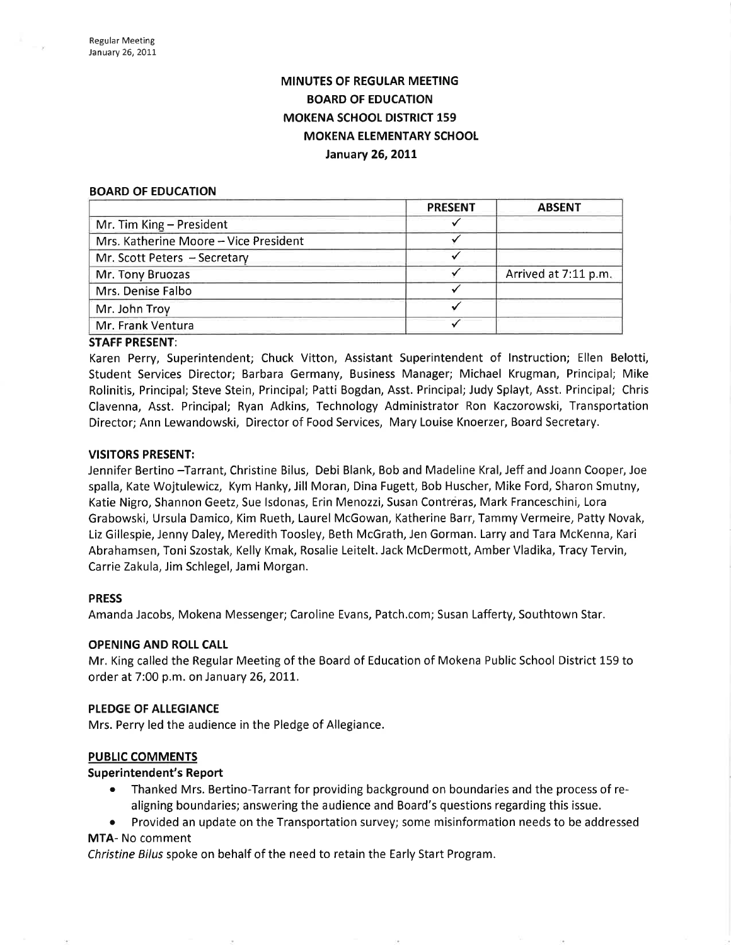# MINUTES OF REGULAR MEETING BOARD OF EDUCATION MOKENA SCHOOL DISTRICT 159 MOKENA ELEMENTARY SCHOOL January 26, 2011

#### BOARD OF EDUCATION

|                                       | <b>PRESENT</b> | <b>ABSENT</b>        |
|---------------------------------------|----------------|----------------------|
| Mr. Tim King - President              |                |                      |
| Mrs. Katherine Moore - Vice President |                |                      |
| Mr. Scott Peters - Secretary          |                |                      |
| Mr. Tony Bruozas                      |                | Arrived at 7:11 p.m. |
| Mrs. Denise Falbo                     |                |                      |
| Mr. John Troy                         |                |                      |
| Mr. Frank Ventura                     |                |                      |

# STAFF PRESENT:

Karen Perry, Superintendent; Chuck Vitton, Assistant Superintendent of Instruction; Ellen Belotti, Student Seruices Director; Barbara Germany, Business Manager; Michael Krugman, Principal; Mike Rolinitis, Principal; Steve Stein, Principal; Patti Bogdan, Asst. Principal; Judy Splayt, Asst. Principal; Chris Clavenna, Asst. Principal; Ryan Adkins, Technology Administrator Ron Kaczorowski, Transportation Director; Ann Lewandowski, Director of Food Services, Mary Louise Knoerzer, Board Secretary.

# VISITORS PRESENT:

Jennifer Bertino -Tarrant, Christine Bilus, Debi Blank, Bob and Madeline Kral, Jeff and Joann Cooper, Joe spalla, Kate Wojtulewicz, Kym Hanky, Jill Moran, Dina Fugett, Bob Huscher, Mike Ford, Sharon Smutny, Katie Nigro, Shannon Geetz, Sue lsdonas, Erin Menozzi, Susan Contreras, Mark Franceschini, Lora Grabowski, Ursula Damico, Kim Rueth, Laurel McGowan, Katherine Barr,TammyVermeire, Patty Novak, Liz Gillespie, Jenny Daley, Meredith Toosley, Beth McGrath, Jen Gorman. Larry and Tara McKenna, Kari Abrahamsen, Toni Szostak, Kelly Kmak, Rosalie Leitelt. Jack McDermott, Amber Vladika, Tracy Tervin, Carrie Zakula, Jim Schlegel, Jami Morgan.

# PRESS

Amanda Jacobs, Mokena Messenger; Caroline Evans, Patch.com; Susan Lafferty, Southtown Star.

# OPENING AND ROLL CALL

Mr. King called the Regular Meeting of the Board of Education of Mokena Public School District l-59 to order at 7:00 p.m. on January 26, 2011.

# PLEDGE OF ALLEGIANCE

Mrs. Perry led the audience in the Pledge of Allegiance.

# PUBLIC COMMENTS

# Superintendent's Report

- Thanked Mrs. Bertino-Tarrant for providing background on boundaries and the process of realigning boundaries; answering the audience and Board's questions regarding this issue.
- Provided an update on the Transportation survey; some misinformation needs to be addressed

# MTA- No comment

Christine Bilus spoke on behalf of the need to retain the Early Start Program.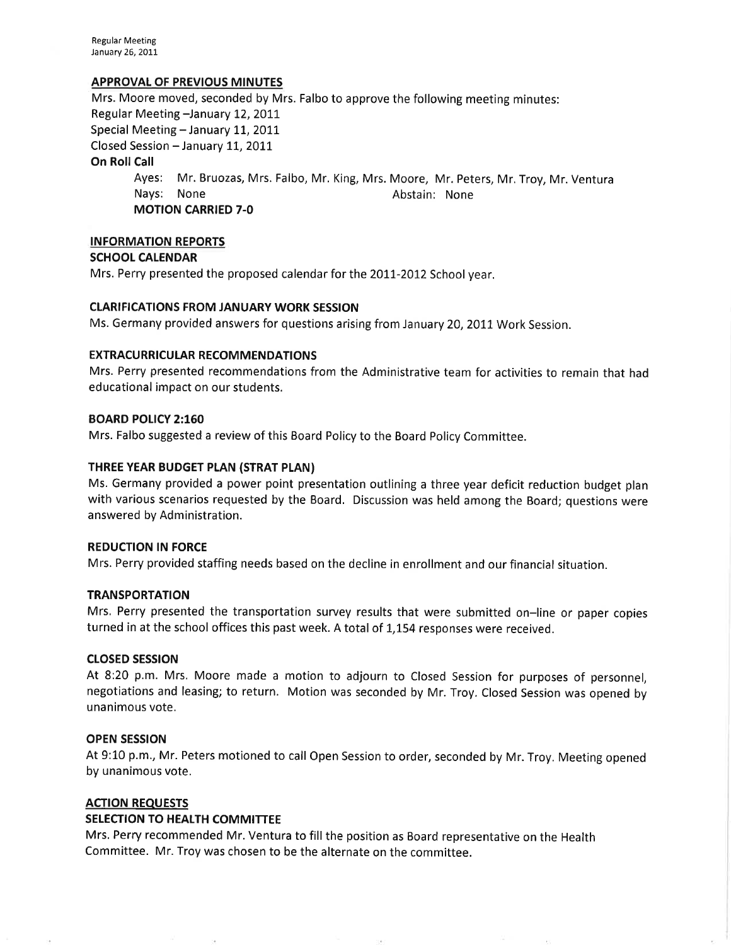Regular Meeting January 26, 2011

# APPROVAL OF PREVIOUS MINUTES

Mrs. Moore moved, seconded by Mrs. Falbo to approve the following meeting minutes: Regular Meeting -January 12, 2011 Special Meeting - January 11, 2011 Closed Session - January 11, 2011 On Roll Call Ayes: Mr. Bruozas, Mrs. Falbo, Mr. King, Mrs. Moore, Mr. Peters, Mr. Troy, Mr. Ventura Nays: None **Abstain:** None MOTION CARRIED 7-O

# INFORMATION REPORTS

# SCHOOL CALENDAR

Mrs. Perry presented the proposed calendar for the 2OI7-20I2 School year.

# **CLARIFICATIONS FROM JANUARY WORK SESSION**

Ms. Germany provided answers for questions arising from January 20, 2011 Work Session.

# EXTRACURRICULAR RECOMMENDATIONS

Mrs. Perry presented recommendations from the Administrative team for activities to remain that had educational impact on our students.

#### BOARD POLICY 2:160

Mrs. Falbo suggested a review of this Board Policy to the Board Policy Committee.

### THREE YEAR BUDGET PLAN (STRAT PLAN)

Ms. Germany provided a power point presentation outlining a three year deficit reduction budget plan with various scenarios requested by the Board. Discussion was held among the Board; questions were answered by Administration.

### REDUCTION IN FORCE

Mrs. Perry provided staffing needs based on the decline in enrollment and our financial situation.

# **TRANSPORTATION**

Mrs. Perry presented the transportation survey results that were submitted on-line or paper copies turned in at the school offices this past week. A total of 1,154 responses were received.

# cLosED sEsstoN

At 8:20 p.m. Mrs. Moore made a motion to adjourn to Closed Session for purposes of personnel, negotiations and leasing; to return. Motion was seconded by Mr. Troy, Closed Session was opened by unanimous vote.

# OPEN SESSION

At 9:10 p.m., Mr. Peters motioned to call Open Session to order, seconded by Mr. Troy. Meeting opened by unanimous vote.

#### **ACTION REQUESTS**

#### SELECTION TO HEALTH COMMITTEE

Mrs. Perry recommended Mr, Ventura to fill the position as Board representative on the Health Committee. Mr. Troy was chosen to be the alternate on the committee.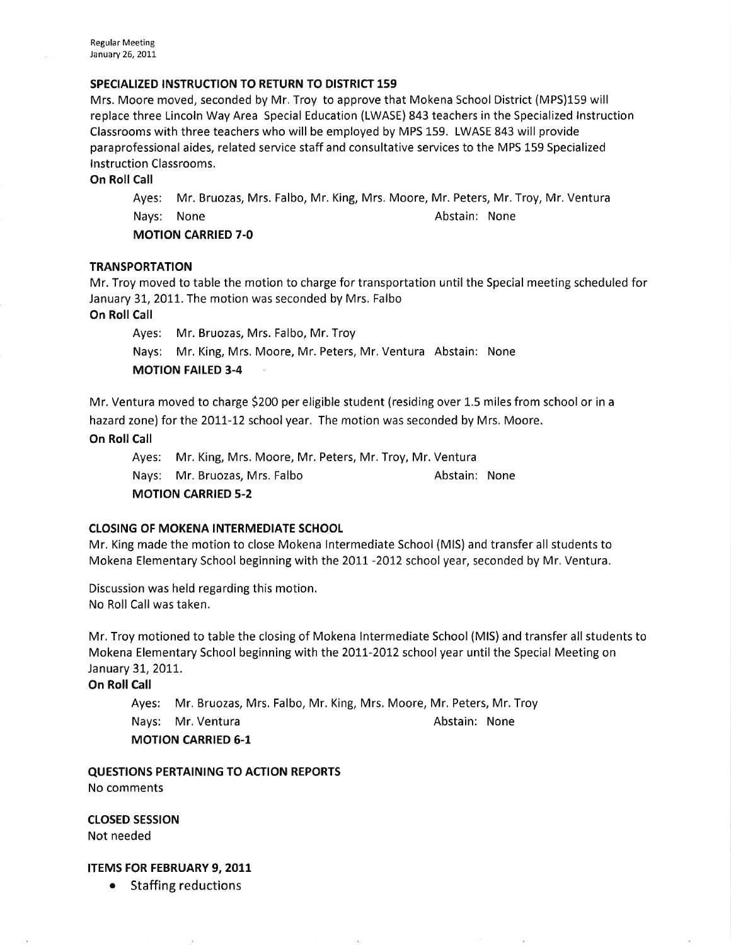# SPECIALIZED INSTRUCTION TO RETURN TO DISTRICT 159

Mrs. Moore moved, seconded by Mr. Troy to approve that Mokena School District (MPS)159 will replace three Lincoln Way Area Special Education (LWASE) 843 teachers in the Specialized lnstruction Classrooms with three teachers who will be employed by MPS 159. LWASE 843 will provide paraprofessional aides, related seruice staff and consultative services to the MPS 159 Specialized <sup>I</sup>nstruction Classrooms.

On Roll Call

Ayes: Mr. Bruozas, Mrs. Falbo, Mr. King, Mrs. Moore, Mr. Peters, Mr. Troy, Mr. Ventura Nays: None **Abstain:** None

MOTION CARRIED 7.0

# **TRANSPORTATION**

Mr. Troy moved to table the motion to charge for transportation until the Special meeting scheduled for January 31, 2011. The motion was seconded by Mrs. Falbo

On Roll Call

Ayes: Mr. Bruozas, Mrs. Falbo, Mr. Troy

Nays: Mr. King, Mrs. Moore, Mr. Peters, Mr. Ventura Abstain: None

MOTION FAILED 3-4

Mr. Ventura moved to charge \$200 per eligible student (residing over 1.5 miles from school or in a hazard zone) for the 2011-12 school year. The motion was seconded by Mrs. Moore.

On Roll Call

Ayes: Mr. King, Mrs. Moore, Mr, Peters, Mr. Troy, Mr. Ventura Nays: Mr. Bruozas, Mrs. Falbo Abstain: None MOTION CARRIED 5-2

# CLOSING OF MOKENA INTERMEDIATE SCHOOL

Mr. King made the motion to close Mokena lntermediate School (MlS) and transfer all students to Mokena Elementary School beginning with the 2011 -2012 school year, seconded by Mr. Ventura.

Discussion was held regarding this motion, No Roll Call was taken.

Mr. Troy motioned to table the closing of Mokena lntermediate School (MlS) and transfer all students to Mokena Elementary School beginning with the 2011-2012 school year until the Special Meeting on January 31, 2011.

On Roll Call

Ayes: Mr. Bruozas, Mrs. Falbo, Mr. King, Mrs. Moore, Mr. Peters, Mr, Troy Nays: Mr. Ventura **Abstain: None** Abstain: None

MOTION CARRIED 6-1

QUESTIONS PERTAINING TO ACTION REPORTS No comments

cLosED sEsstoN Not needed

# ITEMS FOR FEBRUARY 9, 2011

• Staffing reductions